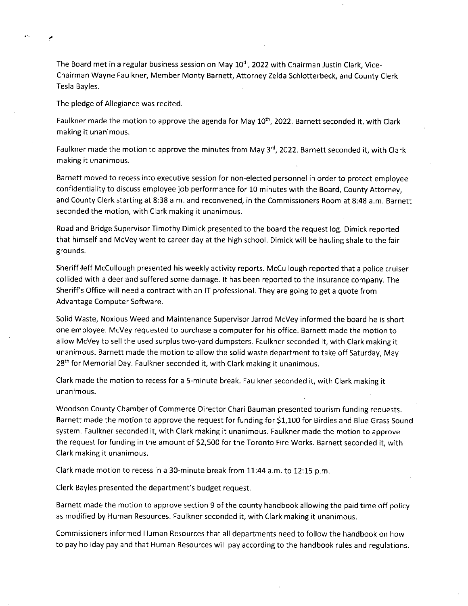The Board met in a regular business session on May  $10<sup>th</sup>$ , 2022 with Chairman Justin Clark, Vice-Chairman Wayne Faulkner, Member Monty Barnett, Attorney Zelda Schlotterbeck, and County Clerk Tesla Bayles.

The pledge of Allegiance was recited.

Faulkner made the motion to approve the agenda for May  $10<sup>th</sup>$ , 2022. Barnett seconded it, with Clark making it unanimous.

Faulkner made the motion to approve the minutes from May 3<sup>rd</sup>, 2022. Barnett seconded it, with Clark making it unanimous.

Barnett moved to recess into executive session for non-elected personnel in order to protect employee confidentiality to discuss employee job performance for 10 minutes with the Board, County Attorney, and County Clerk starting at 8:38 a.m. and reconvened, in the Commissioners Room at 8:48 a.m. Barnett seconded the motion, with Clark making it unanimous.

Road and Bridge Supervisor Timothy Dimick presented to the board the request log. Dimick reported that himself and McVey went to career day at the high school. Dimick will be hauling shale to the fair grounds.

Sheriff Jeff McCullough presented his weekly activity reports. McCullough reported that a police cruiser collided with a deer and suffered some damage. It has been reported to the insurance company. The Sheriff's Office will need a contract with an IT professional. They are going to get a quote from Advantage Computer Software.

Solid Waste, Noxious Weed and Maintenance Supervisor Jarrod McVey informed the board he is short one employee. McVey requested to purchase a computer for his office. Barnett made the motion to allow McVey to sell the used surplus two-yard dumpsters. Faulkner seconded it, with Clark making it unanimous. Barnett made the motion to allow the solid waste department to take off Saturday, May 28<sup>th</sup> for Memorial Day. Faulkner seconded it, with Clark making it unanimous.

Clark made the motion to recess for a 5-minute break. Faulkner seconded it, with Clark making it unanimous.

Woodson County Chamber of Commerce Director Chari Bauman presented tourism funding requests. Barnett made the motion to approve the request for funding for \$1,100 for Birdies and Blue Grass Sound system. Faulkner seconded it, with Clark making it unanimous. Faulkner made the motion to approve the request for funding in the amount of \$2,500 for the Toronto Fire Works. Barnett seconded it, with Clark making it unanimous.

Clark made motion to recess in a 30-minute break from 11:44 a.m. to 12:15 p.m.

Clerk Bayles presented the department's budget request

Barnett made the motion to approve section 9 of the county handbook allowing the paid time off policy as modified by Human Resources. Faulkner seconded it, with Clark making it unanimous.

Commissioners informed Human Resources that all departments need to follow the handbook on how to pay holiday pay and that Human Resources will pay according to the handbook rules and regulations.